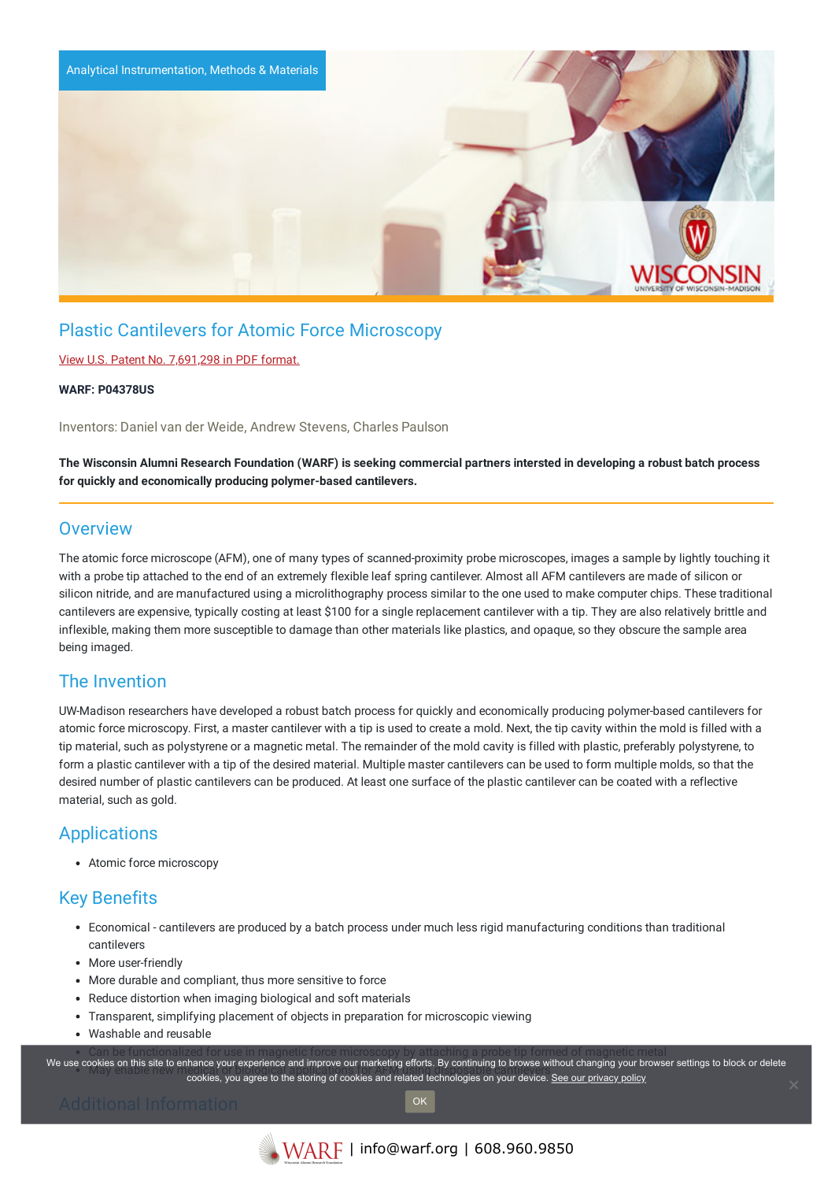

# Plastic Cantilevers for Atomic Force Microscopy

#### View U.S. Patent No. [7,691,298](https://www.warf.org/wp-content/uploads/technologies/ipstatus/P04378US.PDF) in PDF format.

#### **WARF: P04378US**

Inventors: Daniel van der Weide, Andrew Stevens, Charles Paulson

The Wisconsin Alumni Research Foundation (WARF) is seeking commercial partners intersted in developing a robust batch process **for quickly and economically producing polymer-based cantilevers.**

## **Overview**

The atomic force microscope (AFM), one of many types of scanned-proximity probe microscopes, images a sample by lightly touching it with a probe tip attached to the end of an extremely flexible leaf spring cantilever. Almost all AFM cantilevers are made of silicon or silicon nitride, and are manufactured using a microlithography process similar to the one used to make computer chips. These traditional cantilevers are expensive, typically costing at least \$100 for a single replacement cantilever with a tip. They are also relatively brittle and inflexible, making them more susceptible to damage than other materials like plastics, and opaque, so they obscure the sample area being imaged.

### The Invention

UW-Madison researchers have developed a robust batch process for quickly and economically producing polymer-based cantilevers for atomic force microscopy. First, a master cantilever with a tip is used to create a mold. Next, the tip cavity within the mold is filled with a tip material, such as polystyrene or a magnetic metal. The remainder of the mold cavity is filled with plastic, preferably polystyrene, to form a plastic cantilever with a tip of the desired material. Multiple master cantilevers can be used to form multiple molds, so that the desired number of plastic cantilevers can be produced. At least one surface of the plastic cantilever can be coated with a reflective material, such as gold.

# **Applications**

Atomic force microscopy

# Key Benefits

- Economical cantilevers are produced by a batch process under much less rigid manufacturing conditions than traditional cantilevers
- More user-friendly
- More durable and compliant, thus more sensitive to force
- Reduce distortion when imaging biological and soft materials
- Transparent, simplifying placement of objects in preparation for microscopic viewing
- Washable and reusable

.<br>We use cookies on this site to enhance your experience and improve our marketing efforts. By continuing to browse without changing your browser settings to block or delete owdes on this site to emilative your experience and improve our marketing enore. By continuing to browse without changing your browse cookies, you agree to the storing of cookies and related technologies on your device. <u>S</u>

OK